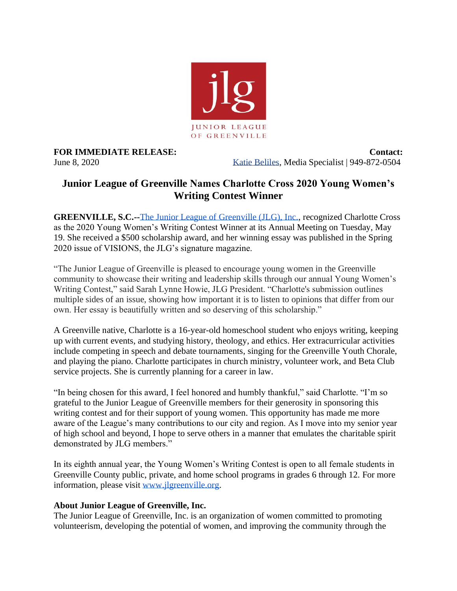

**FOR IMMEDIATE RELEASE:** Contact: June 8, 2020 Katie Beliles, Media Specialist | 949-872-0504

## **Junior League of Greenville Names Charlotte Cross 2020 Young Women's Writing Contest Winner**

**GREENVILLE, S.C.--**[The Junior League of Greenville \(JLG\), Inc.,](https://www.jlgreenville.org/) recognized Charlotte Cross as the 2020 Young Women's Writing Contest Winner at its Annual Meeting on Tuesday, May 19. She received a \$500 scholarship award, and her winning essay was published in the Spring 2020 issue of VISIONS, the JLG's signature magazine.

"The Junior League of Greenville is pleased to encourage young women in the Greenville community to showcase their writing and leadership skills through our annual Young Women's Writing Contest," said Sarah Lynne Howie, JLG President. "Charlotte's submission outlines multiple sides of an issue, showing how important it is to listen to opinions that differ from our own. Her essay is beautifully written and so deserving of this scholarship."

A Greenville native, Charlotte is a 16-year-old homeschool student who enjoys writing, keeping up with current events, and studying history, theology, and ethics. Her extracurricular activities include competing in speech and debate tournaments, singing for the Greenville Youth Chorale, and playing the piano. Charlotte participates in church ministry, volunteer work, and Beta Club service projects. She is currently planning for a career in law.

"In being chosen for this award, I feel honored and humbly thankful," said Charlotte. "I'm so grateful to the Junior League of Greenville members for their generosity in sponsoring this writing contest and for their support of young women. This opportunity has made me more aware of the League's many contributions to our city and region. As I move into my senior year of high school and beyond, I hope to serve others in a manner that emulates the charitable spirit demonstrated by JLG members."

In its eighth annual year, the Young Women's Writing Contest is open to all female students in Greenville County public, private, and home school programs in grades 6 through 12. For more information, please visit [www.jlgreenville.org.](http://www.jlgreenville.org/)

## **About Junior League of Greenville, Inc.**

The Junior League of Greenville, Inc. is an organization of women committed to promoting volunteerism, developing the potential of women, and improving the community through the